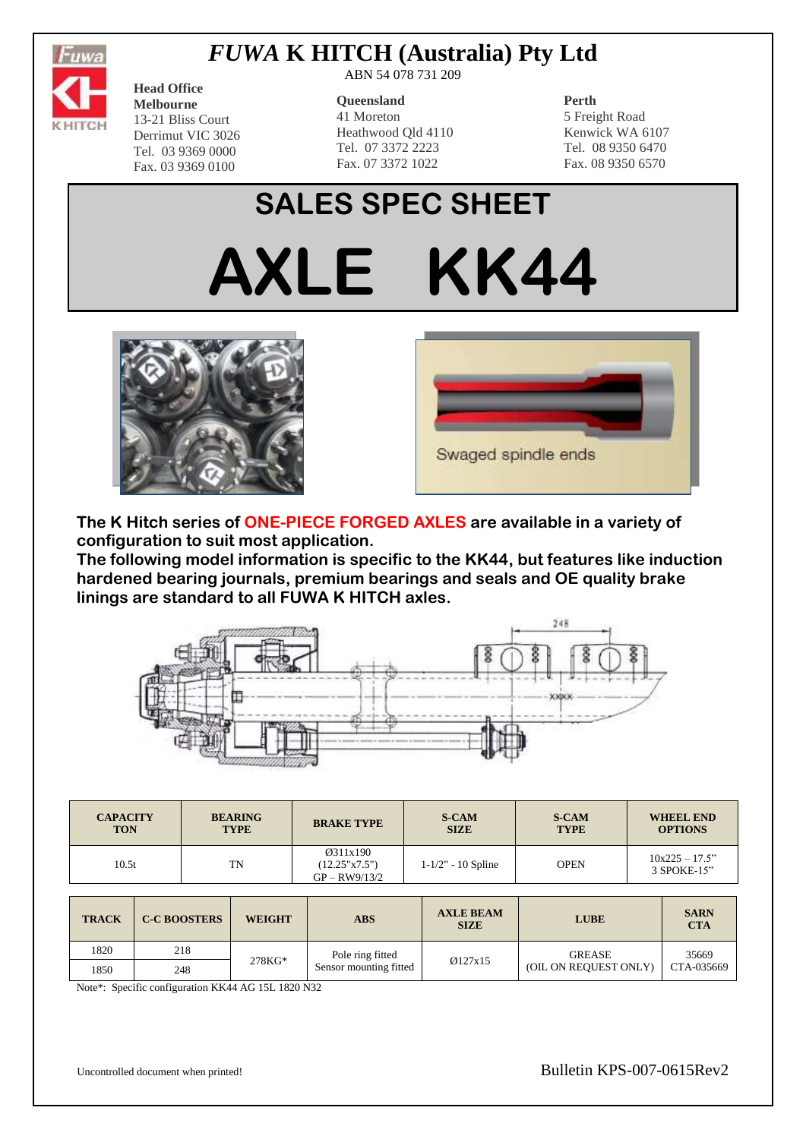

# *FUWA* **K HITCH (Australia) Pty Ltd**

**Head Office Melbourne** 13-21 Bliss Court Derrimut VIC 3026 Tel. 03 9369 0000 Fax. 03 9369 0100

ABN 54 078 731 209

#### **Queensland**

41 Moreton Heathwood Qld 4110 Tel. 07 3372 2223 Fax. 07 3372 1022

### **Perth**

5 Freight Road Kenwick WA 6107 Tel. 08 9350 6470 Fax. 08 9350 6570

# **SALES SPEC SHEET**







**The K Hitch series of ONE-PIECE FORGED AXLES are available in a variety of configuration to suit most application.**

**The following model information is specific to the KK44, but features like induction hardened bearing journals, premium bearings and seals and OE quality brake linings are standard to all FUWA K HITCH axles.**



| <b>CAPACITY</b> | <b>BEARING</b> | <b>BRAKE TYPE</b>                            | <b>S-CAM</b>           | <b>S-CAM</b> | <b>WHEEL END</b>                   |
|-----------------|----------------|----------------------------------------------|------------------------|--------------|------------------------------------|
| <b>TON</b>      | <b>TYPE</b>    |                                              | <b>SIZE</b>            | <b>TYPE</b>  | <b>OPTIONS</b>                     |
| 10.5t           | TN             | Ø311x190<br>(12.25"x7.5")<br>$GP - RW9/13/2$ | $1 - 1/2" - 10$ Spline | <b>OPEN</b>  | $10x225 - 17.5$ "<br>$3$ SPOKE-15" |

| <b>TRACK</b> | <b>C-C BOOSTERS</b> | <b>WEIGHT</b> | <b>ABS</b>                                 | <b>AXLE BEAM</b><br><b>SIZE</b> | <b>LUBE</b>           | <b>SARN</b><br><b>CTA</b> |
|--------------|---------------------|---------------|--------------------------------------------|---------------------------------|-----------------------|---------------------------|
| 1820         | 218                 |               | Pole ring fitted<br>Sensor mounting fitted | Ø127x15                         | <b>GREASE</b>         | 35669                     |
| 1850         | 248                 | $278KG*$      |                                            |                                 | (OIL ON REQUEST ONLY) | CTA-035669                |

Note\*: Specific configuration KK44 AG 15L 1820 N32